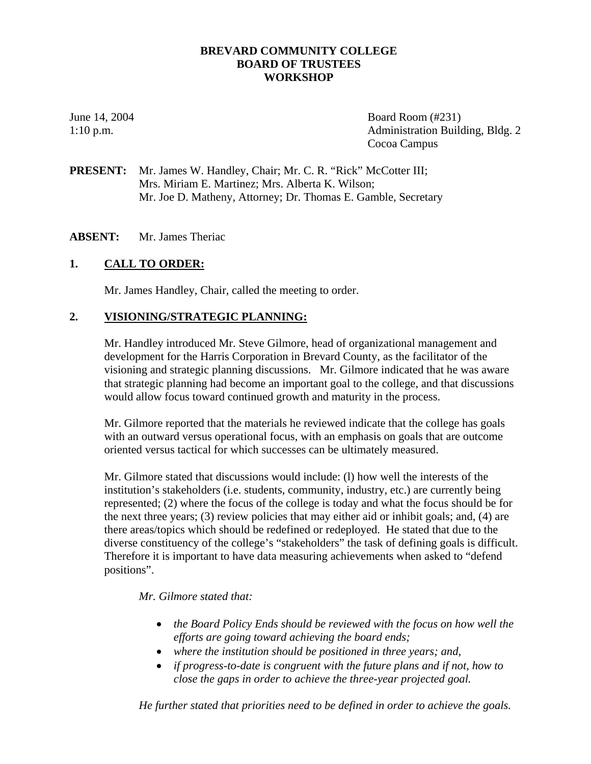## **BREVARD COMMUNITY COLLEGE BOARD OF TRUSTEES WORKSHOP**

June 14, 2004 Board Room (#231) 1:10 p.m. Administration Building, Bldg. 2 Cocoa Campus

PRESENT: Mr. James W. Handley, Chair; Mr. C. R. "Rick" McCotter III; Mrs. Miriam E. Martinez; Mrs. Alberta K. Wilson; Mr. Joe D. Matheny, Attorney; Dr. Thomas E. Gamble, Secretary

**ABSENT:** Mr. James Theriac

## **1. CALL TO ORDER:**

Mr. James Handley, Chair, called the meeting to order.

## **2. VISIONING/STRATEGIC PLANNING:**

Mr. Handley introduced Mr. Steve Gilmore, head of organizational management and development for the Harris Corporation in Brevard County, as the facilitator of the visioning and strategic planning discussions. Mr. Gilmore indicated that he was aware that strategic planning had become an important goal to the college, and that discussions would allow focus toward continued growth and maturity in the process.

Mr. Gilmore reported that the materials he reviewed indicate that the college has goals with an outward versus operational focus, with an emphasis on goals that are outcome oriented versus tactical for which successes can be ultimately measured.

Mr. Gilmore stated that discussions would include: (l) how well the interests of the institution's stakeholders (i.e. students, community, industry, etc.) are currently being represented; (2) where the focus of the college is today and what the focus should be for the next three years; (3) review policies that may either aid or inhibit goals; and, (4) are there areas/topics which should be redefined or redeployed. He stated that due to the diverse constituency of the college's "stakeholders" the task of defining goals is difficult. Therefore it is important to have data measuring achievements when asked to "defend positions".

### *Mr. Gilmore stated that:*

- *the Board Policy Ends should be reviewed with the focus on how well the efforts are going toward achieving the board ends;*
- *where the institution should be positioned in three years; and,*
- *if progress-to-date is congruent with the future plans and if not, how to close the gaps in order to achieve the three-year projected goal.*

*He further stated that priorities need to be defined in order to achieve the goals.*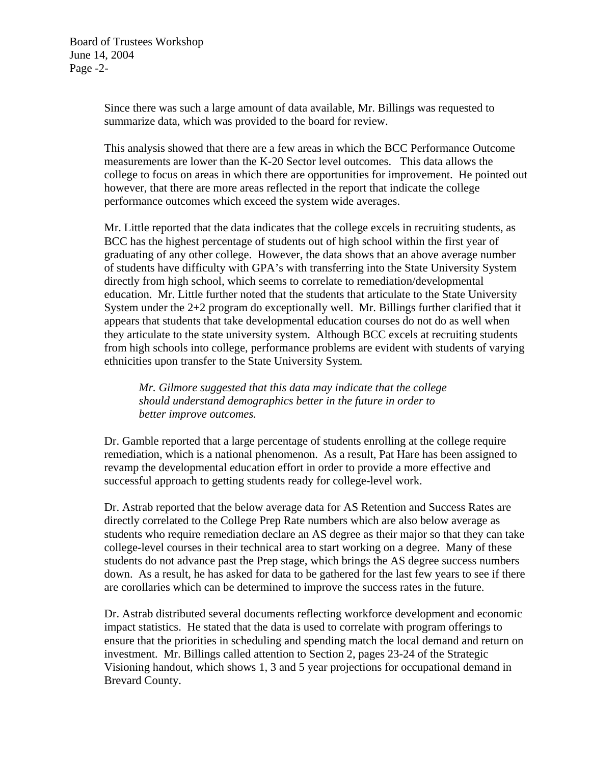Since there was such a large amount of data available, Mr. Billings was requested to summarize data, which was provided to the board for review.

This analysis showed that there are a few areas in which the BCC Performance Outcome measurements are lower than the K-20 Sector level outcomes. This data allows the college to focus on areas in which there are opportunities for improvement. He pointed out however, that there are more areas reflected in the report that indicate the college performance outcomes which exceed the system wide averages.

Mr. Little reported that the data indicates that the college excels in recruiting students, as BCC has the highest percentage of students out of high school within the first year of graduating of any other college. However, the data shows that an above average number of students have difficulty with GPA's with transferring into the State University System directly from high school, which seems to correlate to remediation/developmental education. Mr. Little further noted that the students that articulate to the State University System under the 2+2 program do exceptionally well. Mr. Billings further clarified that it appears that students that take developmental education courses do not do as well when they articulate to the state university system. Although BCC excels at recruiting students from high schools into college, performance problems are evident with students of varying ethnicities upon transfer to the State University System*.* 

*Mr. Gilmore suggested that this data may indicate that the college should understand demographics better in the future in order to better improve outcomes.* 

Dr. Gamble reported that a large percentage of students enrolling at the college require remediation, which is a national phenomenon. As a result, Pat Hare has been assigned to revamp the developmental education effort in order to provide a more effective and successful approach to getting students ready for college-level work.

Dr. Astrab reported that the below average data for AS Retention and Success Rates are directly correlated to the College Prep Rate numbers which are also below average as students who require remediation declare an AS degree as their major so that they can take college-level courses in their technical area to start working on a degree. Many of these students do not advance past the Prep stage, which brings the AS degree success numbers down. As a result, he has asked for data to be gathered for the last few years to see if there are corollaries which can be determined to improve the success rates in the future.

Dr. Astrab distributed several documents reflecting workforce development and economic impact statistics. He stated that the data is used to correlate with program offerings to ensure that the priorities in scheduling and spending match the local demand and return on investment. Mr. Billings called attention to Section 2, pages 23-24 of the Strategic Visioning handout, which shows 1, 3 and 5 year projections for occupational demand in Brevard County.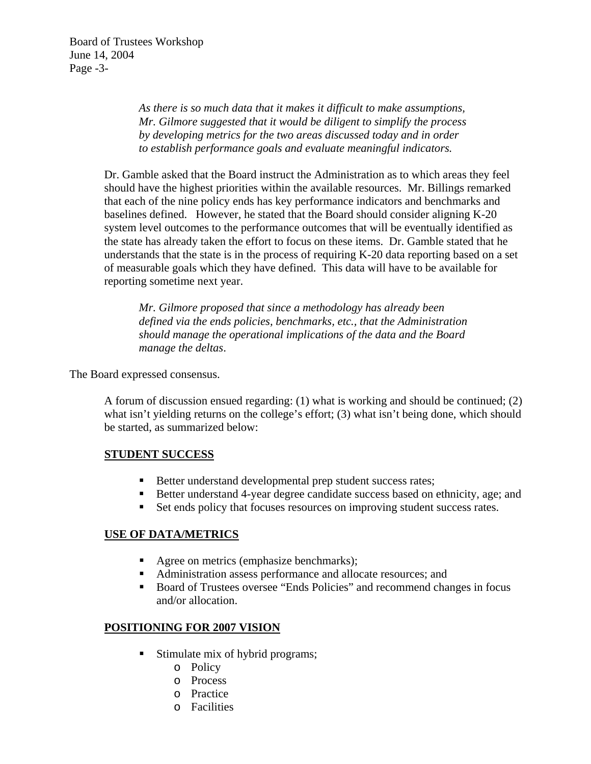*As there is so much data that it makes it difficult to make assumptions, Mr. Gilmore suggested that it would be diligent to simplify the process by developing metrics for the two areas discussed today and in order to establish performance goals and evaluate meaningful indicators.* 

Dr. Gamble asked that the Board instruct the Administration as to which areas they feel should have the highest priorities within the available resources. Mr. Billings remarked that each of the nine policy ends has key performance indicators and benchmarks and baselines defined. However, he stated that the Board should consider aligning K-20 system level outcomes to the performance outcomes that will be eventually identified as the state has already taken the effort to focus on these items. Dr. Gamble stated that he understands that the state is in the process of requiring K-20 data reporting based on a set of measurable goals which they have defined. This data will have to be available for reporting sometime next year.

*Mr. Gilmore proposed that since a methodology has already been defined via the ends policies, benchmarks, etc., that the Administration should manage the operational implications of the data and the Board manage the deltas*.

The Board expressed consensus.

A forum of discussion ensued regarding: (1) what is working and should be continued; (2) what isn't yielding returns on the college's effort; (3) what isn't being done, which should be started, as summarized below:

## **STUDENT SUCCESS**

- Better understand developmental prep student success rates;
- ! Better understand 4-year degree candidate success based on ethnicity, age; and
- ! Set ends policy that focuses resources on improving student success rates.

## **USE OF DATA/METRICS**

- Agree on metrics (emphasize benchmarks);
- ! Administration assess performance and allocate resources; and
- ! Board of Trustees oversee "Ends Policies" and recommend changes in focus and/or allocation.

## **POSITIONING FOR 2007 VISION**

- ! Stimulate mix of hybrid programs;
	- o Policy
	- o Process
	- o Practice
	- o Facilities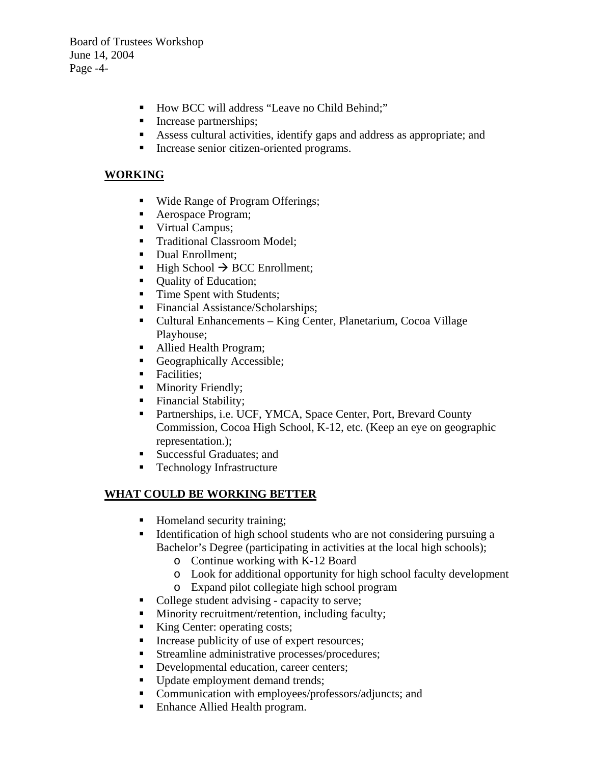Board of Trustees Workshop June 14, 2004 Page -4-

- ! How BCC will address "Leave no Child Behind;"
- **Increase partnerships;**
- ! Assess cultural activities, identify gaps and address as appropriate; and
- ! Increase senior citizen-oriented programs.

# **WORKING**

- Wide Range of Program Offerings;
- ! Aerospace Program;
- **U** Virtual Campus;
- **Traditional Classroom Model;**
- Dual Enrollment;
- High School  $\rightarrow$  BCC Enrollment;
- **Quality of Education;**
- Time Spent with Students;
- Financial Assistance/Scholarships;
- ! Cultural Enhancements King Center, Planetarium, Cocoa Village Playhouse;
- ! Allied Health Program;
- ! Geographically Accessible;
- **Exercitives:**
- **Independient** Minority Friendly;
- **Exercise Exercise Exercise Stability;**
- ! Partnerships, i.e. UCF, YMCA, Space Center, Port, Brevard County Commission, Cocoa High School, K-12, etc. (Keep an eye on geographic representation.);
- ! Successful Graduates; and
- **EXECUTE:** Technology Infrastructure

# **WHAT COULD BE WORKING BETTER**

- ! Homeland security training;
- ! Identification of high school students who are not considering pursuing a Bachelor's Degree (participating in activities at the local high schools);
	- o Continue working with K-12 Board
	- o Look for additional opportunity for high school faculty development
	- o Expand pilot collegiate high school program
- College student advising capacity to serve;
- ! Minority recruitment/retention, including faculty;
- King Center: operating costs;
- Increase publicity of use of expert resources;
- **EXECUTE:** Streamline administrative processes/procedures;
- **•** Developmental education, career centers;
- **•** Update employment demand trends;
- ! Communication with employees/professors/adjuncts; and
- Enhance Allied Health program.